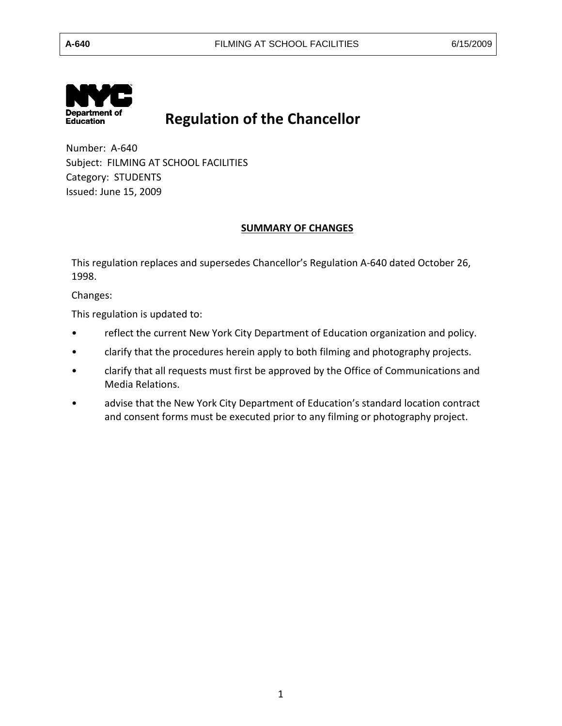

# **Regulation of the Chancellor**

 Number: A-640 Subject: FILMING AT SCHOOL FACILITIES<br>Category: STUDENTS Category: STUDENTS Issued: June 15, 2009

#### **SUMMARY OF CHANGES**

This regulation replaces and supersedes Chancellor's Regulation A-640 dated October 26, 1998.

Changes:

This regulation is updated to:

- reflect the current New York City Department of Education organization and policy.
- clarify that the procedures herein apply to both filming and photography projects.
- clarify that all requests must first be approved by the Office of Communications and Media Relations.
- and consent forms must be executed prior to any filming or photography project. • advise that the New York City Department of Education's standard location contract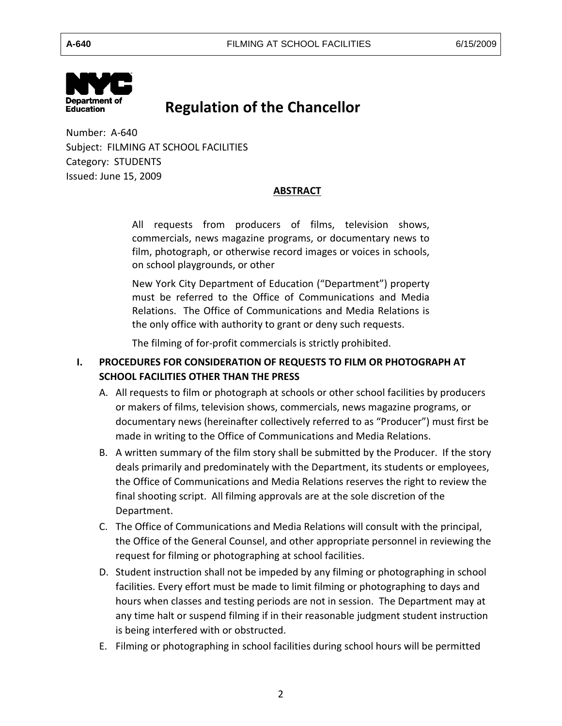

# **Regulation of the Chancellor**

 Number: A-640 Subject: FILMING AT SCHOOL FACILITIES Category: STUDENTS Issued: June 15, 2009

#### **ABSTRACT**

 All requests from producers of films, television shows, commercials, news magazine programs, or documentary news to film, photograph, or otherwise record images or voices in schools, on school playgrounds, or other

 must be referred to the Office of Communications and Media New York City Department of Education ("Department") property Relations. The Office of Communications and Media Relations is the only office with authority to grant or deny such requests.

The filming of for-profit commercials is strictly prohibited.

## **I. PROCEDURES FOR CONSIDERATION OF REQUESTS TO FILM OR PHOTOGRAPH AT SCHOOL FACILITIES OTHER THAN THE PRESS**

- A. All requests to film or photograph at schools or other school facilities by producers or makers of films, television shows, commercials, news magazine programs, or documentary news (hereinafter collectively referred to as "Producer") must first be made in writing to the Office of Communications and Media Relations.
- B. A written summary of the film story shall be submitted by the Producer. If the story deals primarily and predominately with the Department, its students or employees, the Office of Communications and Media Relations reserves the right to review the final shooting script. All filming approvals are at the sole discretion of the Department.
- C. The Office of Communications and Media Relations will consult with the principal, the Office of the General Counsel, and other appropriate personnel in reviewing the request for filming or photographing at school facilities.
- D. Student instruction shall not be impeded by any filming or photographing in school facilities. Every effort must be made to limit filming or photographing to days and hours when classes and testing periods are not in session. The Department may at any time halt or suspend filming if in their reasonable judgment student instruction is being interfered with or obstructed.
- E. Filming or photographing in school facilities during school hours will be permitted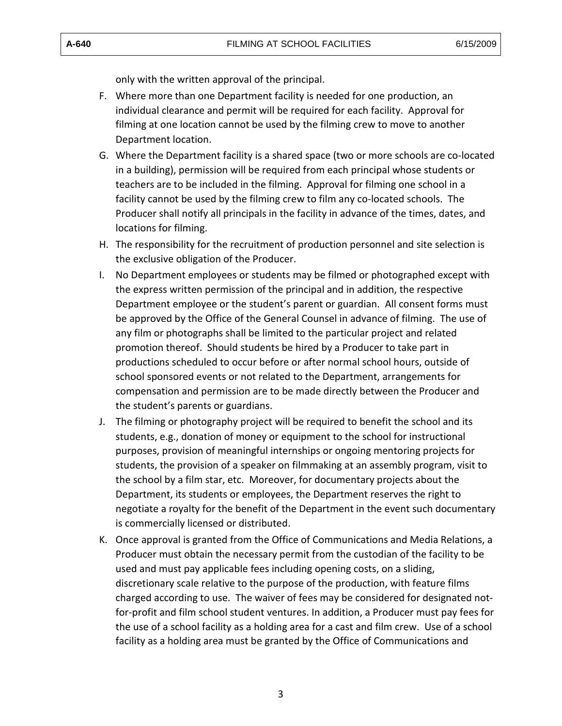only with the written approval of the principal.

- F. Where more than one Department facility is needed for one production, an individual clearance and permit will be required for each facility. Approval for filming at one location cannot be used by the filming crew to move to another Department location.
- G. Where the Department facility is a shared space (two or more schools are co-located in a building), permission will be required from each principal whose students or teachers are to be included in the filming. Approval for filming one school in a facility cannot be used by the filming crew to film any co-located schools. The Producer shall notify all principals in the facility in advance of the times, dates, and locations for filming.
- H. The responsibility for the recruitment of production personnel and site selection is the exclusive obligation of the Producer.
- I. No Department employees or students may be filmed or photographed except with the express written permission of the principal and in addition, the respective Department employee or the student's parent or guardian. All consent forms must be approved by the Office of the General Counsel in advance of filming. The use of any film or photographs shall be limited to the particular project and related promotion thereof. Should students be hired by a Producer to take part in productions scheduled to occur before or after normal school hours, outside of school sponsored events or not related to the Department, arrangements for compensation and permission are to be made directly between the Producer and the student's parents or guardians.
- J. The filming or photography project will be required to benefit the school and its students, e.g., donation of money or equipment to the school for instructional purposes, provision of meaningful internships or ongoing mentoring projects for students, the provision of a speaker on filmmaking at an assembly program, visit to the school by a film star, etc. Moreover, for documentary projects about the Department, its students or employees, the Department reserves the right to negotiate a royalty for the benefit of the Department in the event such documentary is commercially licensed or distributed.
- K. Once approval is granted from the Office of Communications and Media Relations, a Producer must obtain the necessary permit from the custodian of the facility to be used and must pay applicable fees including opening costs, on a sliding, discretionary scale relative to the purpose of the production, with feature films charged according to use. The waiver of fees may be considered for designated notfor-profit and film school student ventures. In addition, a Producer must pay fees for the use of a school facility as a holding area for a cast and film crew. Use of a school facility as a holding area must be granted by the Office of Communications and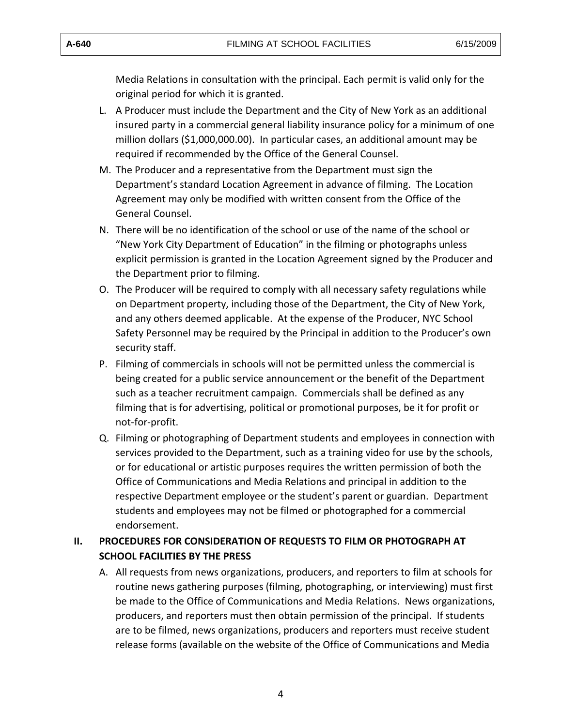Media Relations in consultation with the principal. Each permit is valid only for the original period for which it is granted.

- L. A Producer must include the Department and the City of New York as an additional insured party in a commercial general liability insurance policy for a minimum of one million dollars (\$1,000,000.00). In particular cases, an additional amount may be required if recommended by the Office of the General Counsel.
- M. The Producer and a representative from the Department must sign the Department's standard Location Agreement in advance of filming. The Location Agreement may only be modified with written consent from the Office of the General Counsel.
- N. There will be no identification of the school or use of the name of the school or "New York City Department of Education" in the filming or photographs unless explicit permission is granted in the Location Agreement signed by the Producer and the Department prior to filming.
- O. The Producer will be required to comply with all necessary safety regulations while on Department property, including those of the Department, the City of New York, and any others deemed applicable. At the expense of the Producer, NYC School Safety Personnel may be required by the Principal in addition to the Producer's own security staff.
- P. Filming of commercials in schools will not be permitted unless the commercial is being created for a public service announcement or the benefit of the Department such as a teacher recruitment campaign. Commercials shall be defined as any filming that is for advertising, political or promotional purposes, be it for profit or not-for-profit.
- Q. Filming or photographing of Department students and employees in connection with services provided to the Department, such as a training video for use by the schools, or for educational or artistic purposes requires the written permission of both the Office of Communications and Media Relations and principal in addition to the respective Department employee or the student's parent or guardian. Department students and employees may not be filmed or photographed for a commercial endorsement.

### **II. PROCEDURES FOR CONSIDERATION OF REQUESTS TO FILM OR PHOTOGRAPH AT SCHOOL FACILITIES BY THE PRESS**

A. All requests from news organizations, producers, and reporters to film at schools for producers, and reporters must then obtain permission of the principal. If students release forms (available on the website of the Office of Communications and Media routine news gathering purposes (filming, photographing, or interviewing) must first be made to the Office of Communications and Media Relations. News organizations, are to be filmed, news organizations, producers and reporters must receive student